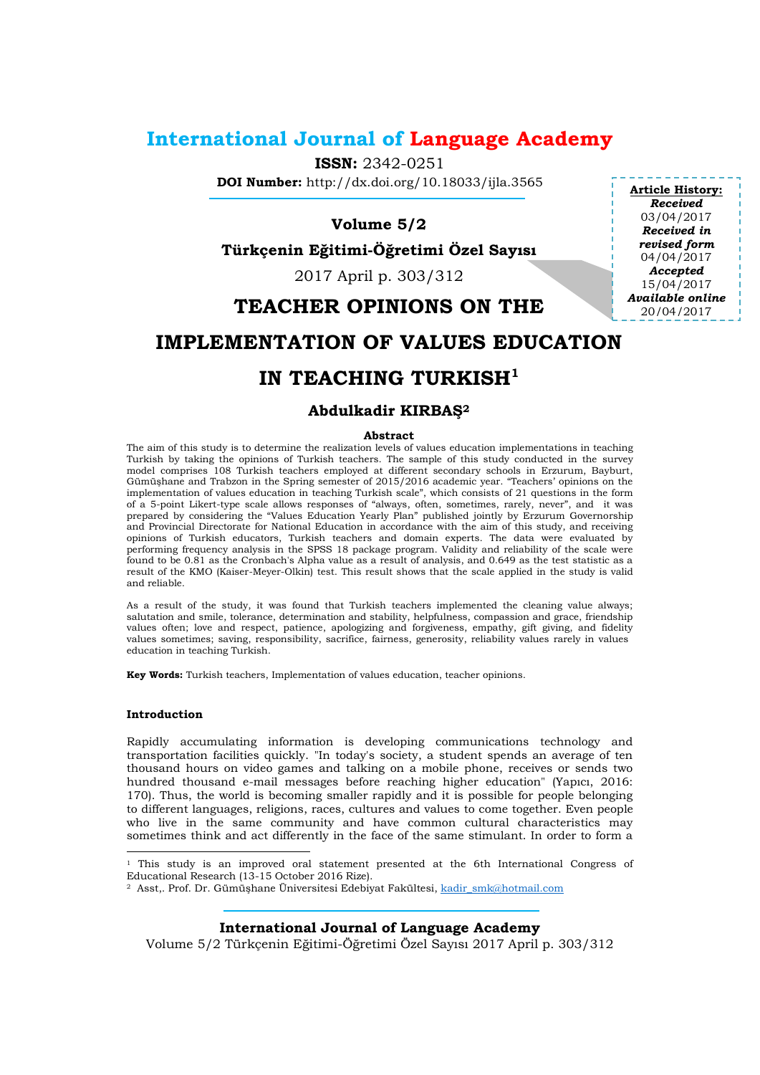## **International Journal of Language Academy**

**ISSN:** 2342-0251

**DOI Number:** http://dx.doi.org/10.18033/ijla.3565

## **Volume 5/2**

**Türkçenin Eğitimi-Öğretimi Özel Sayısı**

2017 April p. 303/312

## **TEACHER OPINIONS ON THE**

# **IMPLEMENTATION OF VALUES EDUCATION**

# **IN TEACHING TURKISH<sup>1</sup>**

### **Abdulkadir KIRBAŞ<sup>2</sup>**

#### **Abstract**

The aim of this study is to determine the realization levels of values education implementations in teaching Turkish by taking the opinions of Turkish teachers. The sample of this study conducted in the survey model comprises 108 Turkish teachers employed at different secondary schools in Erzurum, Bayburt, Gümüşhane and Trabzon in the Spring semester of 2015/2016 academic year. "Teachers' opinions on the implementation of values education in teaching Turkish scale", which consists of 21 questions in the form of a 5-point Likert-type scale allows responses of "always, often, sometimes, rarely, never", and it was prepared by considering the "Values Education Yearly Plan" published jointly by Erzurum Governorship and Provincial Directorate for National Education in accordance with the aim of this study, and receiving opinions of Turkish educators, Turkish teachers and domain experts. The data were evaluated by performing frequency analysis in the SPSS 18 package program. Validity and reliability of the scale were found to be 0.81 as the Cronbach's Alpha value as a result of analysis, and 0.649 as the test statistic as a result of the KMO (Kaiser-Meyer-Olkin) test. This result shows that the scale applied in the study is valid and reliable.

As a result of the study, it was found that Turkish teachers implemented the cleaning value always; salutation and smile, tolerance, determination and stability, helpfulness, compassion and grace, friendship values often; love and respect, patience, apologizing and forgiveness, empathy, gift giving, and fidelity values sometimes; saving, responsibility, sacrifice, fairness, generosity, reliability values rarely in values education in teaching Turkish.

**Key Words:** Turkish teachers, Implementation of values education, teacher opinions.

#### **Introduction**

l

Rapidly accumulating information is developing communications technology and transportation facilities quickly. "In today's society, a student spends an average of ten thousand hours on video games and talking on a mobile phone, receives or sends two hundred thousand e-mail messages before reaching higher education" (Yapıcı, 2016: 170). Thus, the world is becoming smaller rapidly and it is possible for people belonging to different languages, religions, races, cultures and values to come together. Even people who live in the same community and have common cultural characteristics may sometimes think and act differently in the face of the same stimulant. In order to form a

**International Journal of Language Academy**

Volume 5/2 Türkçenin Eğitimi-Öğretimi Özel Sayısı 2017 April p. 303/312

**Article History:** *Received* 03/04/2017 *Received in revised form* 04/04/2017 *Accepted* 15/04/2017 *Available online* 20/04/2017

<sup>&</sup>lt;sup>1</sup> This study is an improved oral statement presented at the 6th International Congress of Educational Research (13-15 October 2016 Rize).

<sup>&</sup>lt;sup>2</sup> Asst,. Prof. Dr. Gümüşhane Üniversitesi Edebiyat Fakültesi, kadir smk@hotmail.com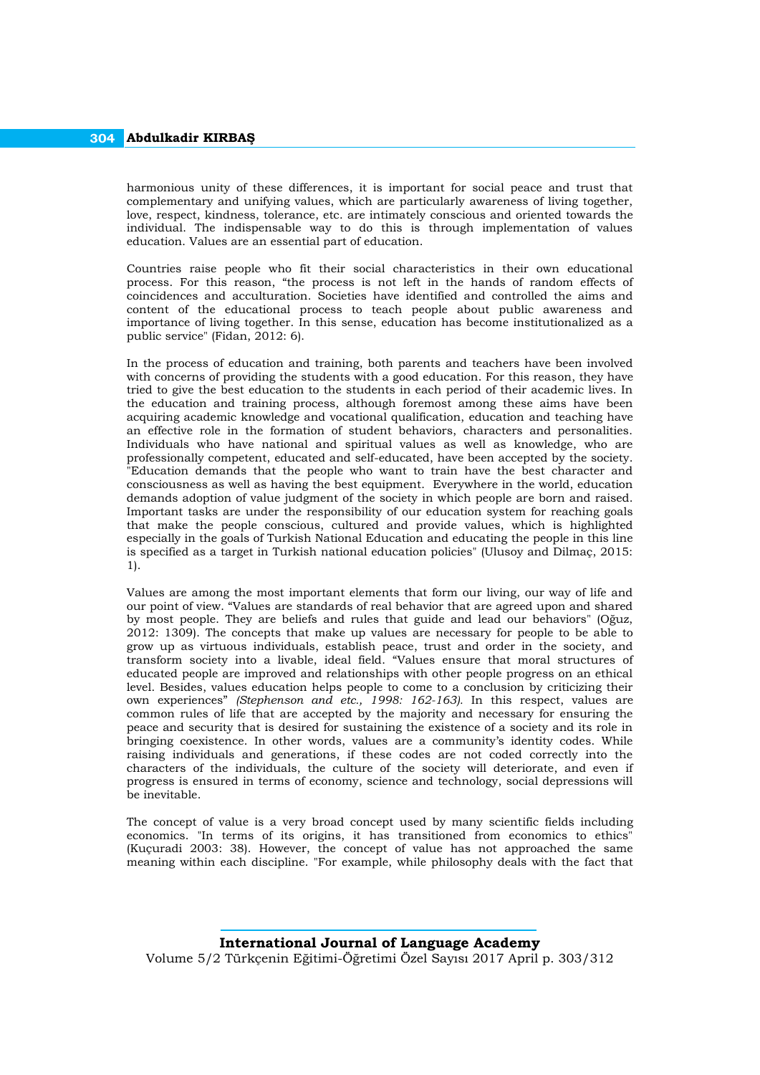harmonious unity of these differences, it is important for social peace and trust that complementary and unifying values, which are particularly awareness of living together, love, respect, kindness, tolerance, etc. are intimately conscious and oriented towards the individual. The indispensable way to do this is through implementation of values education. Values are an essential part of education.

Countries raise people who fit their social characteristics in their own educational process. For this reason, "the process is not left in the hands of random effects of coincidences and acculturation. Societies have identified and controlled the aims and content of the educational process to teach people about public awareness and importance of living together. In this sense, education has become institutionalized as a public service" (Fidan, 2012: 6).

In the process of education and training, both parents and teachers have been involved with concerns of providing the students with a good education. For this reason, they have tried to give the best education to the students in each period of their academic lives. In the education and training process, although foremost among these aims have been acquiring academic knowledge and vocational qualification, education and teaching have an effective role in the formation of student behaviors, characters and personalities. Individuals who have national and spiritual values as well as knowledge, who are professionally competent, educated and self-educated, have been accepted by the society. "Education demands that the people who want to train have the best character and consciousness as well as having the best equipment. Everywhere in the world, education demands adoption of value judgment of the society in which people are born and raised. Important tasks are under the responsibility of our education system for reaching goals that make the people conscious, cultured and provide values, which is highlighted especially in the goals of Turkish National Education and educating the people in this line is specified as a target in Turkish national education policies" (Ulusoy and Dilmaç, 2015: 1).

Values are among the most important elements that form our living, our way of life and our point of view. "Values are standards of real behavior that are agreed upon and shared by most people. They are beliefs and rules that guide and lead our behaviors" (Oğuz, 2012: 1309). The concepts that make up values are necessary for people to be able to grow up as virtuous individuals, establish peace, trust and order in the society, and transform society into a livable, ideal field. "Values ensure that moral structures of educated people are improved and relationships with other people progress on an ethical level. Besides, values education helps people to come to a conclusion by criticizing their own experiences" *(Stephenson and etc., 1998: 162-163).* In this respect, values are common rules of life that are accepted by the majority and necessary for ensuring the peace and security that is desired for sustaining the existence of a society and its role in bringing coexistence. In other words, values are a community's identity codes. While raising individuals and generations, if these codes are not coded correctly into the characters of the individuals, the culture of the society will deteriorate, and even if progress is ensured in terms of economy, science and technology, social depressions will be inevitable.

The concept of value is a very broad concept used by many scientific fields including economics. "In terms of its origins, it has transitioned from economics to ethics" (Kuçuradi 2003: 38). However, the concept of value has not approached the same meaning within each discipline. "For example, while philosophy deals with the fact that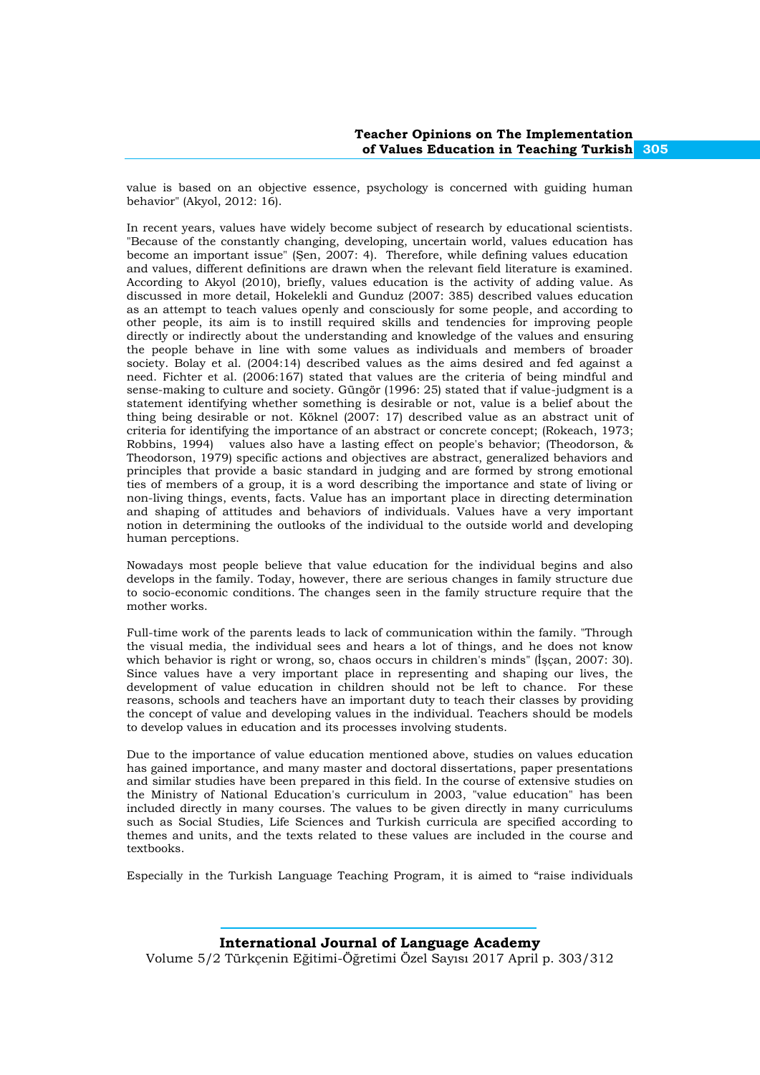value is based on an objective essence, psychology is concerned with guiding human behavior" (Akyol, 2012: 16).

In recent years, values have widely become subject of research by educational scientists. "Because of the constantly changing, developing, uncertain world, values education has become an important issue" (Şen, 2007: 4). Therefore, while defining values education and values, different definitions are drawn when the relevant field literature is examined. According to Akyol (2010), briefly, values education is the activity of adding value. As discussed in more detail, Hokelekli and Gunduz (2007: 385) described values education as an attempt to teach values openly and consciously for some people, and according to other people, its aim is to instill required skills and tendencies for improving people directly or indirectly about the understanding and knowledge of the values and ensuring the people behave in line with some values as individuals and members of broader society. Bolay et al. (2004:14) described values as the aims desired and fed against a need. Fichter et al. (2006:167) stated that values are the criteria of being mindful and sense-making to culture and society. Güngör (1996: 25) stated that if value-judgment is a statement identifying whether something is desirable or not, value is a belief about the thing being desirable or not. Köknel (2007: 17) described value as an abstract unit of criteria for identifying the importance of an abstract or concrete concept; (Rokeach, 1973; Robbins, 1994) values also have a lasting effect on people's behavior; (Theodorson, & Theodorson, 1979) specific actions and objectives are abstract, generalized behaviors and principles that provide a basic standard in judging and are formed by strong emotional ties of members of a group, it is a word describing the importance and state of living or non-living things, events, facts. Value has an important place in directing determination and shaping of attitudes and behaviors of individuals. Values have a very important notion in determining the outlooks of the individual to the outside world and developing human perceptions.

Nowadays most people believe that value education for the individual begins and also develops in the family. Today, however, there are serious changes in family structure due to socio-economic conditions. The changes seen in the family structure require that the mother works.

Full-time work of the parents leads to lack of communication within the family. "Through the visual media, the individual sees and hears a lot of things, and he does not know which behavior is right or wrong, so, chaos occurs in children's minds" (İşçan, 2007: 30). Since values have a very important place in representing and shaping our lives, the development of value education in children should not be left to chance. For these reasons, schools and teachers have an important duty to teach their classes by providing the concept of value and developing values in the individual. Teachers should be models to develop values in education and its processes involving students.

Due to the importance of value education mentioned above, studies on values education has gained importance, and many master and doctoral dissertations, paper presentations and similar studies have been prepared in this field. In the course of extensive studies on the Ministry of National Education's curriculum in 2003, "value education" has been included directly in many courses. The values to be given directly in many curriculums such as Social Studies, Life Sciences and Turkish curricula are specified according to themes and units, and the texts related to these values are included in the course and textbooks.

Especially in the Turkish Language Teaching Program, it is aimed to "raise individuals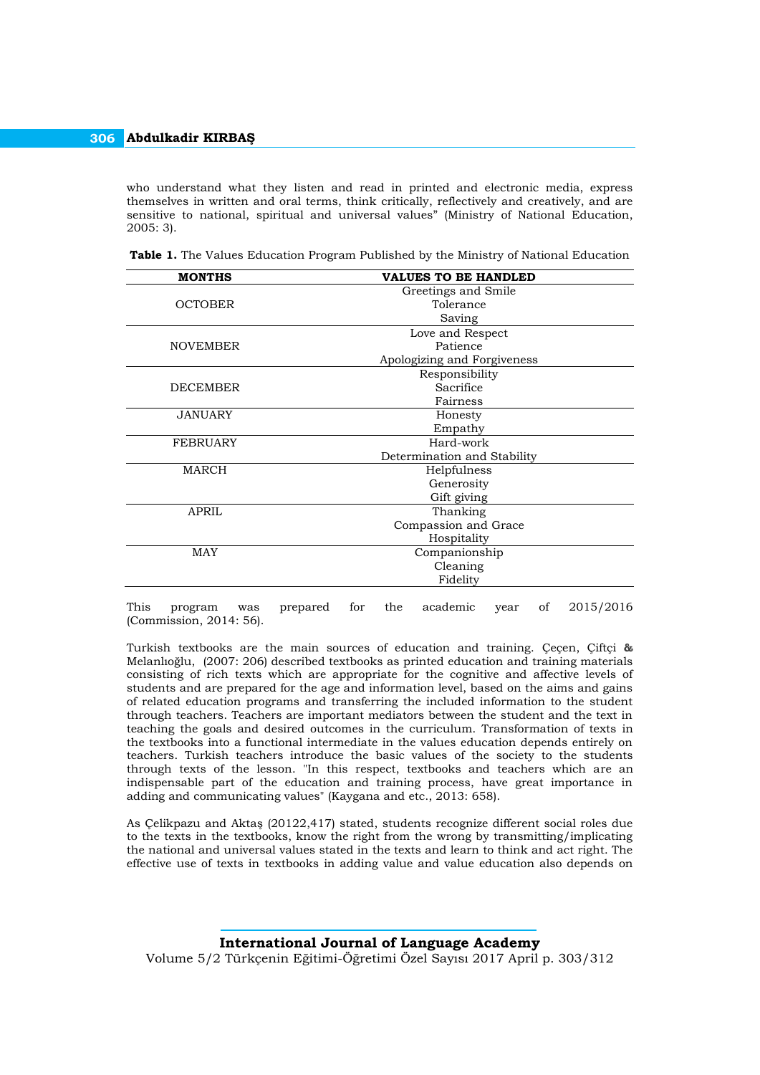who understand what they listen and read in printed and electronic media, express themselves in written and oral terms, think critically, reflectively and creatively, and are sensitive to national, spiritual and universal values" (Ministry of National Education, 2005: 3).

| <b>MONTHS</b>   | <b>VALUES TO BE HANDLED</b> |  |  |  |  |
|-----------------|-----------------------------|--|--|--|--|
|                 | Greetings and Smile         |  |  |  |  |
| <b>OCTOBER</b>  | Tolerance                   |  |  |  |  |
|                 | Saving                      |  |  |  |  |
|                 | Love and Respect            |  |  |  |  |
| <b>NOVEMBER</b> | Patience                    |  |  |  |  |
|                 | Apologizing and Forgiveness |  |  |  |  |
|                 | Responsibility              |  |  |  |  |
| <b>DECEMBER</b> | Sacrifice                   |  |  |  |  |
|                 | Fairness                    |  |  |  |  |
| <b>JANUARY</b>  | Honesty                     |  |  |  |  |
|                 | Empathy                     |  |  |  |  |
| <b>FEBRUARY</b> | Hard-work                   |  |  |  |  |
|                 | Determination and Stability |  |  |  |  |
| <b>MARCH</b>    | Helpfulness                 |  |  |  |  |
|                 | Generosity                  |  |  |  |  |
|                 | Gift giving                 |  |  |  |  |
| <b>APRIL</b>    | Thanking                    |  |  |  |  |
|                 | Compassion and Grace        |  |  |  |  |
|                 | Hospitality                 |  |  |  |  |
| <b>MAY</b>      | Companionship               |  |  |  |  |
|                 | Cleaning                    |  |  |  |  |
|                 | Fidelity                    |  |  |  |  |

**Table 1.** The Values Education Program Published by the Ministry of National Education

This program was prepared for the academic year of 2015/2016 (Commission, 2014: 56).

Turkish textbooks are the main sources of education and training. Çeçen, Çiftçi **&** Melanlıoğlu, (2007: 206) described textbooks as printed education and training materials consisting of rich texts which are appropriate for the cognitive and affective levels of students and are prepared for the age and information level, based on the aims and gains of related education programs and transferring the included information to the student through teachers. Teachers are important mediators between the student and the text in teaching the goals and desired outcomes in the curriculum. Transformation of texts in the textbooks into a functional intermediate in the values education depends entirely on teachers. Turkish teachers introduce the basic values of the society to the students through texts of the lesson. "In this respect, textbooks and teachers which are an indispensable part of the education and training process, have great importance in adding and communicating values" (Kaygana and etc., 2013: 658).

As Çelikpazu and Aktaş (20122,417) stated, students recognize different social roles due to the texts in the textbooks, know the right from the wrong by transmitting/implicating the national and universal values stated in the texts and learn to think and act right. The effective use of texts in textbooks in adding value and value education also depends on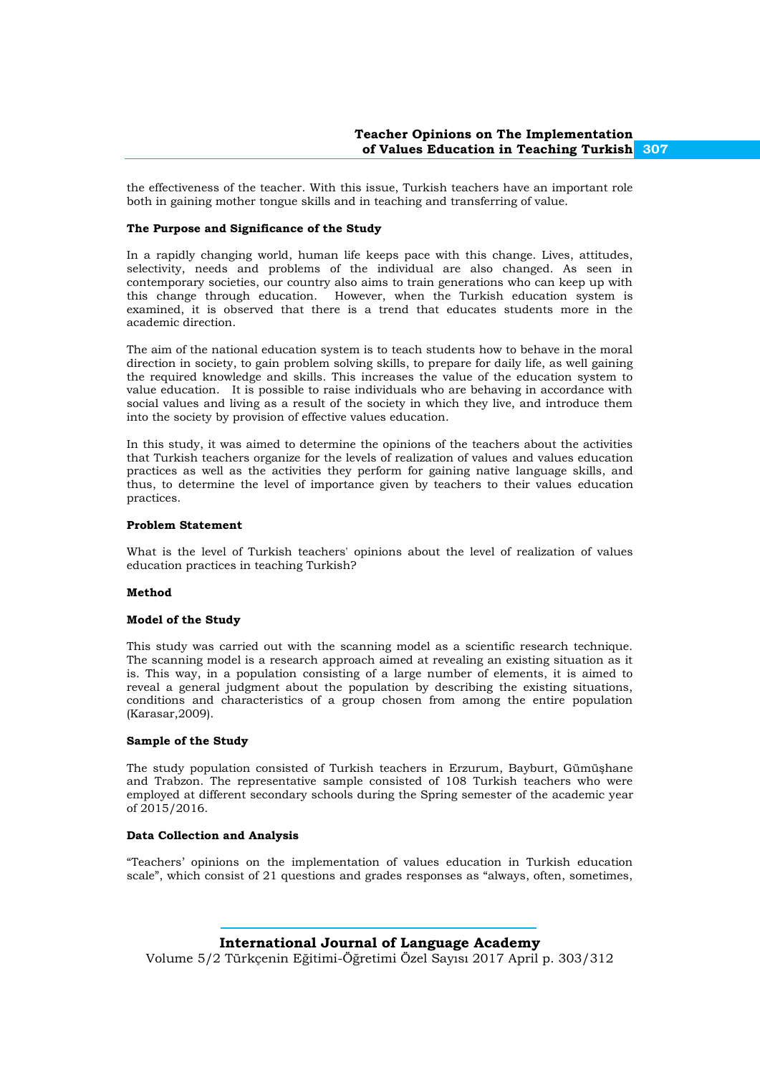the effectiveness of the teacher. With this issue, Turkish teachers have an important role both in gaining mother tongue skills and in teaching and transferring of value.

#### **The Purpose and Significance of the Study**

In a rapidly changing world, human life keeps pace with this change. Lives, attitudes, selectivity, needs and problems of the individual are also changed. As seen in contemporary societies, our country also aims to train generations who can keep up with this change through education. However, when the Turkish education system is examined, it is observed that there is a trend that educates students more in the academic direction.

The aim of the national education system is to teach students how to behave in the moral direction in society, to gain problem solving skills, to prepare for daily life, as well gaining the required knowledge and skills. This increases the value of the education system to value education. It is possible to raise individuals who are behaving in accordance with social values and living as a result of the society in which they live, and introduce them into the society by provision of effective values education.

In this study, it was aimed to determine the opinions of the teachers about the activities that Turkish teachers organize for the levels of realization of values and values education practices as well as the activities they perform for gaining native language skills, and thus, to determine the level of importance given by teachers to their values education practices.

#### **Problem Statement**

What is the level of Turkish teachers' opinions about the level of realization of values education practices in teaching Turkish?

#### **Method**

#### **Model of the Study**

This study was carried out with the scanning model as a scientific research technique. The scanning model is a research approach aimed at revealing an existing situation as it is. This way, in a population consisting of a large number of elements, it is aimed to reveal a general judgment about the population by describing the existing situations, conditions and characteristics of a group chosen from among the entire population (Karasar,2009).

#### **Sample of the Study**

The study population consisted of Turkish teachers in Erzurum, Bayburt, Gümüşhane and Trabzon. The representative sample consisted of 108 Turkish teachers who were employed at different secondary schools during the Spring semester of the academic year of 2015/2016.

#### **Data Collection and Analysis**

"Teachers' opinions on the implementation of values education in Turkish education scale", which consist of 21 questions and grades responses as "always, often, sometimes,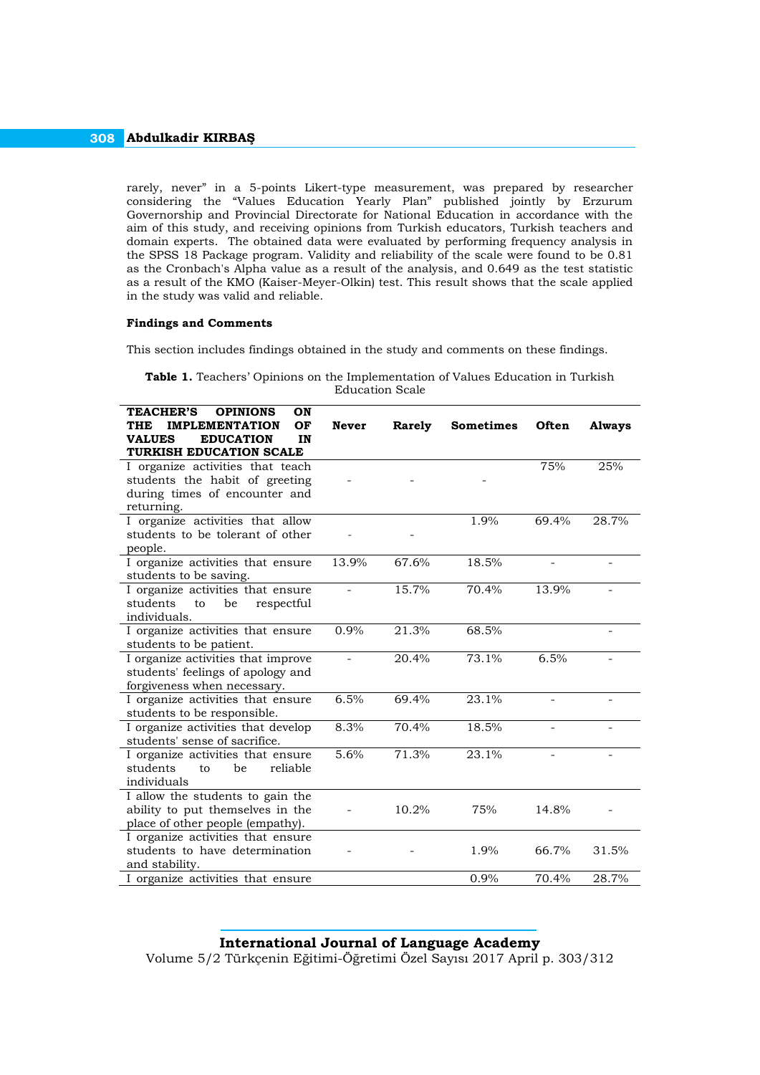rarely, never" in a 5-points Likert-type measurement, was prepared by researcher considering the "Values Education Yearly Plan" published jointly by Erzurum Governorship and Provincial Directorate for National Education in accordance with the aim of this study, and receiving opinions from Turkish educators, Turkish teachers and domain experts. The obtained data were evaluated by performing frequency analysis in the SPSS 18 Package program. Validity and reliability of the scale were found to be 0.81 as the Cronbach's Alpha value as a result of the analysis, and 0.649 as the test statistic as a result of the KMO (Kaiser-Meyer-Olkin) test. This result shows that the scale applied in the study was valid and reliable.

#### **Findings and Comments**

This section includes findings obtained in the study and comments on these findings.

|  | <b>Table 1.</b> Teachers' Opinions on the Implementation of Values Education in Turkish |  |  |                 |  |  |  |  |
|--|-----------------------------------------------------------------------------------------|--|--|-----------------|--|--|--|--|
|  |                                                                                         |  |  | Education Scale |  |  |  |  |

| <b>TEACHER'S</b><br><b>OPINIONS</b><br>ON<br><b>IMPLEMENTATION</b><br>OF<br>THE | <b>Never</b>   | <b>Rarely</b> | <b>Sometimes</b> | Often               | <b>Always</b>            |
|---------------------------------------------------------------------------------|----------------|---------------|------------------|---------------------|--------------------------|
| <b>VALUES</b><br><b>EDUCATION</b><br>IN<br>TURKISH EDUCATION SCALE              |                |               |                  |                     |                          |
| I organize activities that teach                                                |                |               |                  | 75%                 | 25%                      |
| students the habit of greeting                                                  |                |               |                  |                     |                          |
| during times of encounter and                                                   |                |               |                  |                     |                          |
| returning.<br>I organize activities that allow                                  |                |               | 1.9%             | 69.4%               | 28.7%                    |
| students to be tolerant of other                                                |                |               |                  |                     |                          |
| people.                                                                         |                |               |                  |                     |                          |
| I organize activities that ensure                                               | 13.9%          | 67.6%         | 18.5%            | $\bar{\phantom{a}}$ | $\overline{\phantom{a}}$ |
| students to be saving.                                                          |                |               |                  |                     |                          |
| I organize activities that ensure                                               | $\overline{a}$ | 15.7%         | 70.4%            | 13.9%               |                          |
| students<br>be<br>to<br>respectful                                              |                |               |                  |                     |                          |
| individuals.                                                                    | $0.9\%$        | 21.3%         | 68.5%            |                     |                          |
| I organize activities that ensure<br>students to be patient.                    |                |               |                  |                     |                          |
| I organize activities that improve                                              | ÷,             | 20.4%         | 73.1%            | 6.5%                |                          |
| students' feelings of apology and                                               |                |               |                  |                     |                          |
| forgiveness when necessary.                                                     |                |               |                  |                     |                          |
| I organize activities that ensure                                               | 6.5%           | 69.4%         | 23.1%            | ÷                   |                          |
| students to be responsible.                                                     |                |               |                  |                     |                          |
| I organize activities that develop                                              | 8.3%           | 70.4%         | 18.5%            |                     |                          |
| students' sense of sacrifice.                                                   |                |               |                  |                     |                          |
| I organize activities that ensure<br>students<br>reliable<br>be<br>to           | 5.6%           | 71.3%         | 23.1%            |                     |                          |
| individuals                                                                     |                |               |                  |                     |                          |
| I allow the students to gain the                                                |                |               |                  |                     |                          |
| ability to put themselves in the                                                |                | 10.2%         | 75%              | 14.8%               |                          |
| place of other people (empathy).                                                |                |               |                  |                     |                          |
| I organize activities that ensure                                               |                |               |                  |                     |                          |
| students to have determination                                                  |                |               | 1.9%             | 66.7%               | 31.5%                    |
| and stability.                                                                  |                |               |                  |                     |                          |
| I organize activities that ensure                                               |                |               | 0.9%             | 70.4%               | 28.7%                    |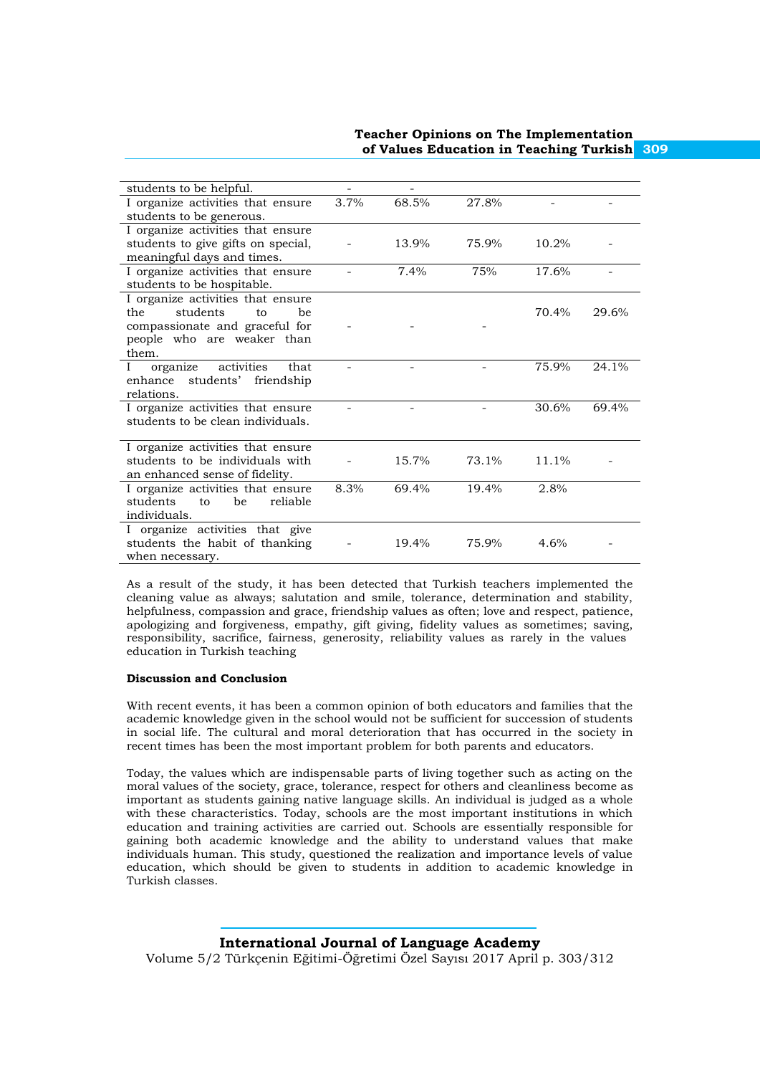| students to be helpful.             | -    |       |       |       |       |
|-------------------------------------|------|-------|-------|-------|-------|
| I organize activities that ensure   | 3.7% | 68.5% | 27.8% |       |       |
| students to be generous.            |      |       |       |       |       |
| I organize activities that ensure   |      |       |       |       |       |
| students to give gifts on special,  |      | 13.9% | 75.9% | 10.2% |       |
| meaningful days and times.          |      |       |       |       |       |
| I organize activities that ensure   |      | 7.4%  | 75%   | 17.6% |       |
| students to be hospitable.          |      |       |       |       |       |
| I organize activities that ensure   |      |       |       |       |       |
| students<br>the<br>to<br>be         |      |       |       | 70.4% | 29.6% |
| compassionate and graceful for      |      |       |       |       |       |
| people who are weaker than          |      |       |       |       |       |
| them.                               |      |       |       |       |       |
| activities<br>organize<br>that<br>I |      |       |       | 75.9% | 24.1% |
| students' friendship<br>enhance     |      |       |       |       |       |
| relations.                          |      |       |       |       |       |
| I organize activities that ensure   |      |       |       | 30.6% | 69.4% |
| students to be clean individuals.   |      |       |       |       |       |
|                                     |      |       |       |       |       |
| I organize activities that ensure   |      |       |       |       |       |
| students to be individuals with     |      | 15.7% | 73.1% | 11.1% |       |
| an enhanced sense of fidelity.      |      |       |       |       |       |
| I organize activities that ensure   | 8.3% | 69.4% | 19.4% | 2.8%  |       |
| students<br>reliable<br>to<br>be    |      |       |       |       |       |
| individuals.                        |      |       |       |       |       |
| I organize activities that give     |      |       |       |       |       |
| students the habit of thanking      |      | 19.4% | 75.9% | 4.6%  |       |
| when necessary.                     |      |       |       |       |       |
|                                     |      |       |       |       |       |

As a result of the study, it has been detected that Turkish teachers implemented the cleaning value as always; salutation and smile, tolerance, determination and stability, helpfulness, compassion and grace, friendship values as often; love and respect, patience, apologizing and forgiveness, empathy, gift giving, fidelity values as sometimes; saving, responsibility, sacrifice, fairness, generosity, reliability values as rarely in the values education in Turkish teaching

#### **Discussion and Conclusion**

With recent events, it has been a common opinion of both educators and families that the academic knowledge given in the school would not be sufficient for succession of students in social life. The cultural and moral deterioration that has occurred in the society in recent times has been the most important problem for both parents and educators.

Today, the values which are indispensable parts of living together such as acting on the moral values of the society, grace, tolerance, respect for others and cleanliness become as important as students gaining native language skills. An individual is judged as a whole with these characteristics. Today, schools are the most important institutions in which education and training activities are carried out. Schools are essentially responsible for gaining both academic knowledge and the ability to understand values that make individuals human. This study, questioned the realization and importance levels of value education, which should be given to students in addition to academic knowledge in Turkish classes.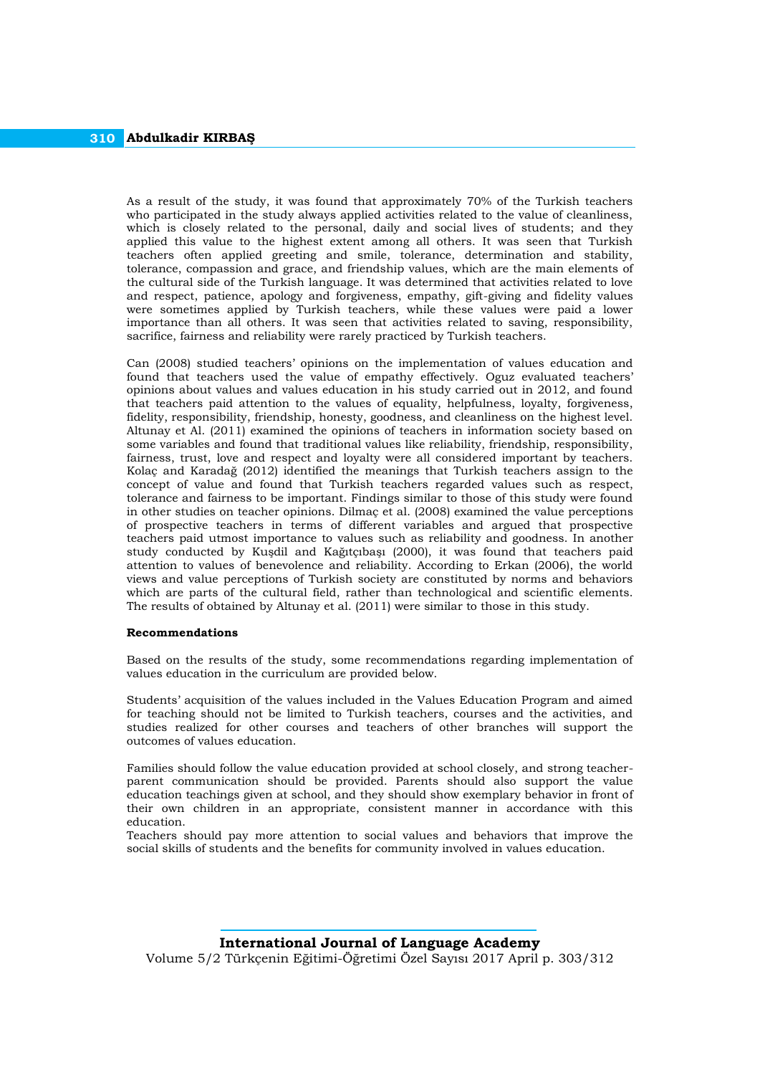As a result of the study, it was found that approximately 70% of the Turkish teachers who participated in the study always applied activities related to the value of cleanliness, which is closely related to the personal, daily and social lives of students; and they applied this value to the highest extent among all others. It was seen that Turkish teachers often applied greeting and smile, tolerance, determination and stability, tolerance, compassion and grace, and friendship values, which are the main elements of the cultural side of the Turkish language. It was determined that activities related to love and respect, patience, apology and forgiveness, empathy, gift-giving and fidelity values were sometimes applied by Turkish teachers, while these values were paid a lower importance than all others. It was seen that activities related to saving, responsibility, sacrifice, fairness and reliability were rarely practiced by Turkish teachers.

Can (2008) studied teachers' opinions on the implementation of values education and found that teachers used the value of empathy effectively. Oguz evaluated teachers' opinions about values and values education in his study carried out in 2012, and found that teachers paid attention to the values of equality, helpfulness, loyalty, forgiveness, fidelity, responsibility, friendship, honesty, goodness, and cleanliness on the highest level. Altunay et Al. (2011) examined the opinions of teachers in information society based on some variables and found that traditional values like reliability, friendship, responsibility, fairness, trust, love and respect and loyalty were all considered important by teachers. Kolaç and Karadağ (2012) identified the meanings that Turkish teachers assign to the concept of value and found that Turkish teachers regarded values such as respect, tolerance and fairness to be important. Findings similar to those of this study were found in other studies on teacher opinions. Dilmaç et al. (2008) examined the value perceptions of prospective teachers in terms of different variables and argued that prospective teachers paid utmost importance to values such as reliability and goodness. In another study conducted by Kuşdil and Kağıtçıbaşı (2000), it was found that teachers paid attention to values of benevolence and reliability. According to Erkan (2006), the world views and value perceptions of Turkish society are constituted by norms and behaviors which are parts of the cultural field, rather than technological and scientific elements. The results of obtained by Altunay et al. (2011) were similar to those in this study.

#### **Recommendations**

Based on the results of the study, some recommendations regarding implementation of values education in the curriculum are provided below.

Students' acquisition of the values included in the Values Education Program and aimed for teaching should not be limited to Turkish teachers, courses and the activities, and studies realized for other courses and teachers of other branches will support the outcomes of values education.

Families should follow the value education provided at school closely, and strong teacherparent communication should be provided. Parents should also support the value education teachings given at school, and they should show exemplary behavior in front of their own children in an appropriate, consistent manner in accordance with this education.

Teachers should pay more attention to social values and behaviors that improve the social skills of students and the benefits for community involved in values education.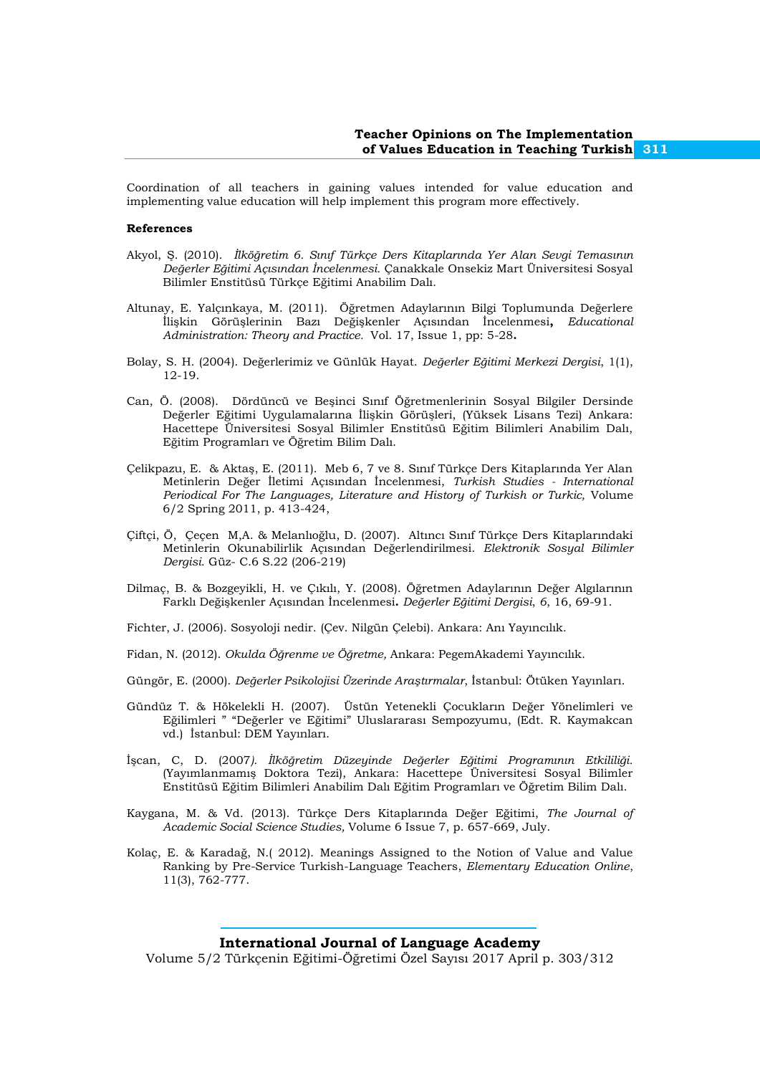Coordination of all teachers in gaining values intended for value education and implementing value education will help implement this program more effectively.

#### **References**

- Akyol, Ş. (2010). *İlköğretim 6. Sınıf Türkçe Ders Kitaplarında Yer Alan Sevgi Temasının Değerler Eğitimi Açısından İncelenmesi.* Çanakkale Onsekiz Mart Üniversitesi Sosyal Bilimler Enstitüsü Türkçe Eğitimi Anabilim Dalı.
- Altunay, E. Yalçınkaya, M. (2011). Öğretmen Adaylarının Bilgi Toplumunda Değerlere İlişkin Görüşlerinin Bazı Değişkenler Açısından İncelenmesi**,** *Educational Administration: Theory and Practice.* Vol. 17, Issue 1, pp: 5-28**.**
- Bolay, S. H. (2004). Değerlerimiz ve Günlük Hayat. *Değerler Eğitimi Merkezi Dergisi*, 1(1), 12-19.
- Can, Ö. (2008). Dördüncü ve Beşinci Sınıf Öğretmenlerinin Sosyal Bilgiler Dersinde Değerler Eğitimi Uygulamalarına İlişkin Görüşleri, (Yüksek Lisans Tezi) Ankara: Hacettepe Üniversitesi Sosyal Bilimler Enstitüsü Eğitim Bilimleri Anabilim Dalı, Eğitim Programları ve Öğretim Bilim Dalı.
- Çelikpazu, E. & Aktaş, E. (2011). Meb 6, 7 ve 8. Sınıf Türkçe Ders Kitaplarında Yer Alan Metinlerin Değer İletimi Açısından İncelenmesi, *Turkish Studies - International Periodical For The Languages, Literature and History of Turkish or Turkic,* Volume 6/2 Spring 2011, p. 413-424,
- Çiftçi, Ö, Çeçen M,A. & Melanlıoğlu, D. (2007). Altıncı Sınıf Türkçe Ders Kitaplarındaki Metinlerin Okunabilirlik Açısından Değerlendirilmesi. *Elektronik Sosyal Bilimler Dergisi*. Güz- C.6 S.22 (206-219)
- Dilmaç, B. & Bozgeyikli, H. ve Çıkılı, Y. (2008). Öğretmen Adaylarının Değer Algılarının Farklı Değişkenler Açısından İncelenmesi**.** *Değerler Eğitimi Dergisi*, *6*, 16, 69-91.
- Fichter, J. (2006). Sosyoloji nedir. (Çev. Nilgün Çelebi). Ankara: Anı Yayıncılık.
- Fidan, N. (2012). *Okulda Öğrenme ve Öğretme,* Ankara: PegemAkademi Yayıncılık.
- Güngör, E. (2000). *Değerler Psikolojisi Üzerinde Araştırmalar*, İstanbul: Ötüken Yayınları.
- Gündüz T. & Hökelekli H. (2007). Üstün Yetenekli Çocukların Değer Yönelimleri ve Eğilimleri " "Değerler ve Eğitimi" Uluslararası Sempozyumu, (Edt. R. Kaymakcan vd.) İstanbul: DEM Yayınları.
- İşcan, C, D. (2007*). İlköğretim Düzeyinde Değerler Eğitimi Programının Etkililiği.* (Yayımlanmamış Doktora Tezi), Ankara: Hacettepe Üniversitesi Sosyal Bilimler Enstitüsü Eğitim Bilimleri Anabilim Dalı Eğitim Programları ve Öğretim Bilim Dalı.
- Kaygana, M. & Vd. (2013). Türkçe Ders Kitaplarında Değer Eğitimi, *The Journal of Academic Social Science Studies,* Volume 6 Issue 7, p. 657-669, July.
- Kolaç, E. & Karadağ, N.( 2012). Meanings Assigned to the Notion of Value and Value Ranking by Pre-Service Turkish-Language Teachers, *Elementary Education Online*, 11(3), 762-777.

#### **International Journal of Language Academy**

Volume 5/2 Türkçenin Eğitimi-Öğretimi Özel Sayısı 2017 April p. 303/312